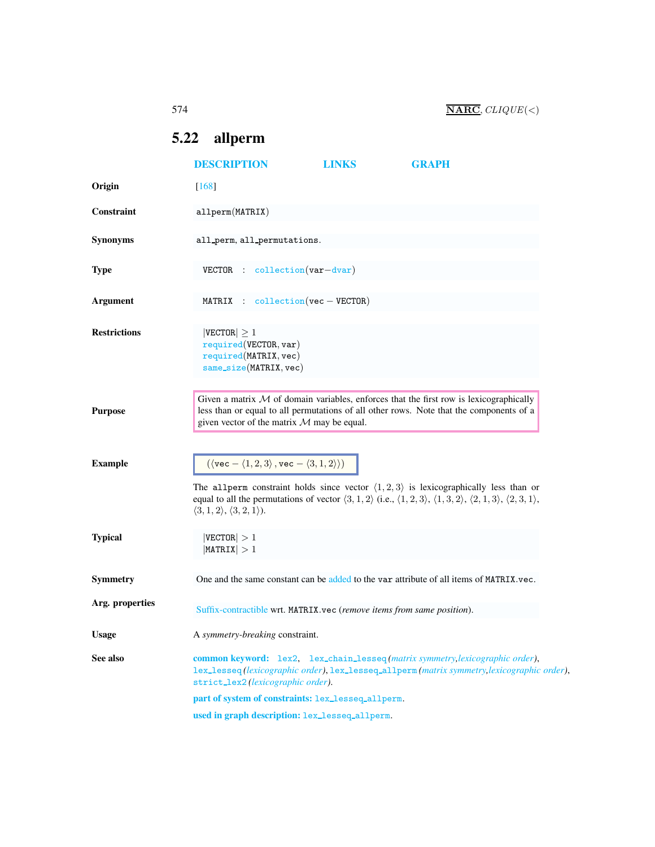## <span id="page-0-0"></span>5.22 allperm

<span id="page-0-1"></span>

|                     | <b>DESCRIPTION</b>                                                                                                                                                                                                                  | <b>LINKS</b>                                       | <b>GRAPH</b>                                                                                                                                                                                                                                                                                       |  |  |
|---------------------|-------------------------------------------------------------------------------------------------------------------------------------------------------------------------------------------------------------------------------------|----------------------------------------------------|----------------------------------------------------------------------------------------------------------------------------------------------------------------------------------------------------------------------------------------------------------------------------------------------------|--|--|
| Origin              | $[168]$                                                                                                                                                                                                                             |                                                    |                                                                                                                                                                                                                                                                                                    |  |  |
| Constraint          | allperm(MATRIX)                                                                                                                                                                                                                     |                                                    |                                                                                                                                                                                                                                                                                                    |  |  |
| <b>Synonyms</b>     | all_perm, all_permutations.                                                                                                                                                                                                         |                                                    |                                                                                                                                                                                                                                                                                                    |  |  |
| <b>Type</b>         | $VECTOR$ : collection $(var-dvar)$                                                                                                                                                                                                  |                                                    |                                                                                                                                                                                                                                                                                                    |  |  |
| Argument            | MATRIX : $\text{collection}(\text{vec} - \text{VECTOR})$                                                                                                                                                                            |                                                    |                                                                                                                                                                                                                                                                                                    |  |  |
| <b>Restrictions</b> | $ {\tt VECTOR}  \geq 1$<br>required(VECTOR, var)<br>required(MATRIX, vec)<br>$same\_size(MATRIX, vec)$                                                                                                                              |                                                    |                                                                                                                                                                                                                                                                                                    |  |  |
| <b>Purpose</b>      | Given a matrix $M$ of domain variables, enforces that the first row is lexicographically<br>less than or equal to all permutations of all other rows. Note that the components of a<br>given vector of the matrix $M$ may be equal. |                                                    |                                                                                                                                                                                                                                                                                                    |  |  |
| <b>Example</b>      | $(\langle \text{vec} - \langle 1, 2, 3 \rangle, \text{vec} - \langle 3, 1, 2 \rangle))$<br>$\langle 3,1,2\rangle, \langle 3,2,1\rangle.$                                                                                            |                                                    | The all perm constraint holds since vector $\langle 1, 2, 3 \rangle$ is lexicographically less than or<br>equal to all the permutations of vector $\langle 3, 1, 2 \rangle$ (i.e., $\langle 1, 2, 3 \rangle$ , $\langle 1, 3, 2 \rangle$ , $\langle 2, 1, 3 \rangle$ , $\langle 2, 3, 1 \rangle$ , |  |  |
| <b>Typical</b>      | $ {\tt VECTOR}  > 1$<br>$ \texttt{MATRIX}  > 1$                                                                                                                                                                                     |                                                    |                                                                                                                                                                                                                                                                                                    |  |  |
| Symmetry            |                                                                                                                                                                                                                                     |                                                    | One and the same constant can be added to the var attribute of all items of MATRIX.vec.                                                                                                                                                                                                            |  |  |
| Arg. properties     | Suffix-contractible wrt. MATRIX.vec (remove items from same position).                                                                                                                                                              |                                                    |                                                                                                                                                                                                                                                                                                    |  |  |
| <b>Usage</b>        | A symmetry-breaking constraint.                                                                                                                                                                                                     |                                                    |                                                                                                                                                                                                                                                                                                    |  |  |
| See also            | strict_lex2(lexicographic order).                                                                                                                                                                                                   |                                                    | common keyword: lex2, lex_chain_lesseq(matrix symmetry, lexicographic order),<br>lex_lesseq(lexicographic order), lex_lesseq_allperm(matrix symmetry, lexicographic order),                                                                                                                        |  |  |
|                     |                                                                                                                                                                                                                                     | part of system of constraints: lex_lesseq_allperm. |                                                                                                                                                                                                                                                                                                    |  |  |
|                     |                                                                                                                                                                                                                                     | used in graph description: lex_lesseq_allperm.     |                                                                                                                                                                                                                                                                                                    |  |  |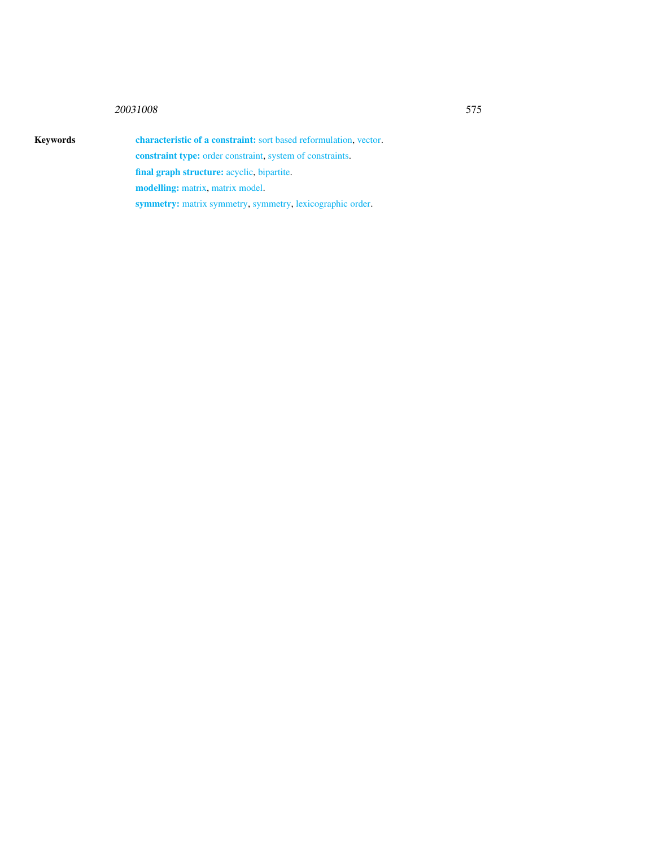## <sup>20031008</sup> 575

Keywords characteristic of a constraint: sort based reformulation, vector. constraint type: order constraint, system of constraints. final graph structure: acyclic, bipartite. modelling: matrix, matrix model. symmetry: matrix symmetry, symmetry, lexicographic order.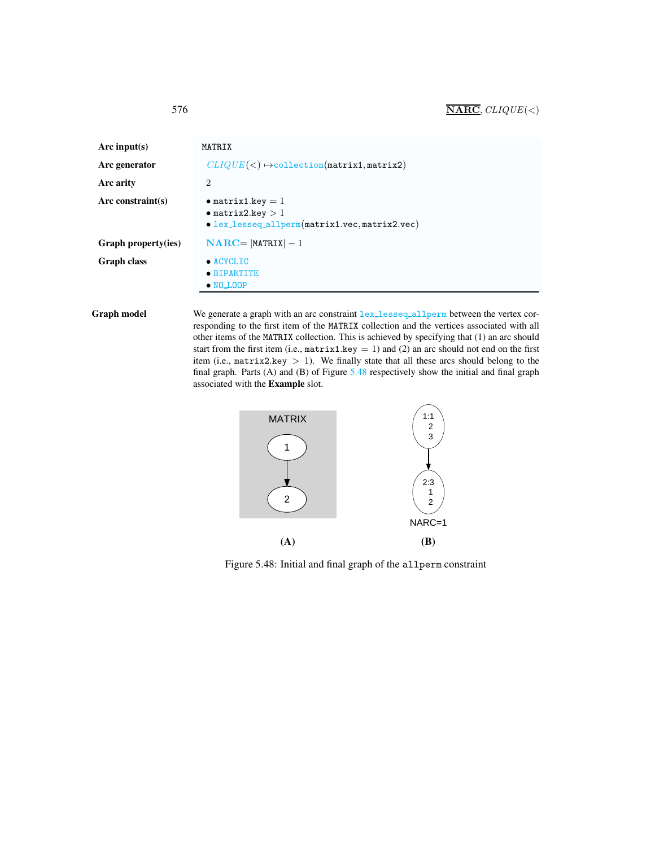<span id="page-2-0"></span>

| Arc input(s)        | MATRIX                                                                                                   |  |  |
|---------------------|----------------------------------------------------------------------------------------------------------|--|--|
| Arc generator       | $CLIQUE(<) \rightarrow$ collection(matrix1, matrix2)                                                     |  |  |
| Arc arity           | 2                                                                                                        |  |  |
| Arc constraint(s)   | $\bullet$ matrix1.key = 1<br>$\bullet$ matrix2.key $>1$<br>• lex_lesseq_allperm(matrix1.vec,matrix2.vec) |  |  |
| Graph property(ies) | $\mathbf{NARC} =   \mathbf{MATRIX}   - 1$                                                                |  |  |
| Graph class         | $\bullet$ ACYCLIC<br>• BIPARTITE<br>$\bullet$ NO_LOOP                                                    |  |  |

Graph model We generate a graph with an arc constraint lex\_lesseq\_allperm between the vertex corresponding to the first item of the MATRIX collection and the vertices associated with all other items of the MATRIX collection. This is achieved by specifying that (1) an arc should start from the first item (i.e.,  $matrix1.key = 1$ ) and (2) an arc should not end on the first item (i.e.,  $matrix2.key > 1$ ). We finally state that all these arcs should belong to the final graph. Parts  $(A)$  and  $(B)$  of Figure  $5.48$  respectively show the initial and final graph associated with the Example slot.



<span id="page-2-1"></span>Figure 5.48: Initial and final graph of the allperm constraint